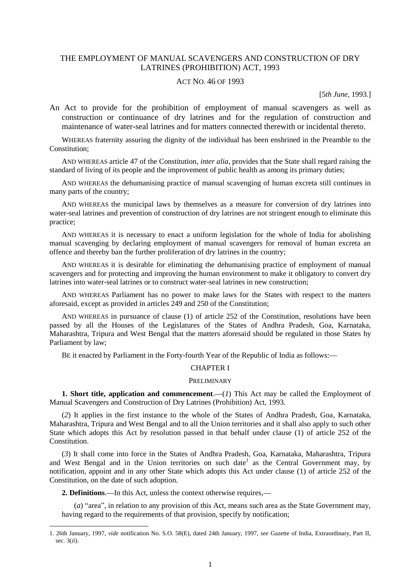# THE EMPLOYMENT OF MANUAL SCAVENGERS AND CONSTRUCTION OF DRY LATRINES (PROHIBITION) ACT, 1993

# ACT NO. 46 OF 1993

[5*th June,* 1993.]

An Act to provide for the prohibition of employment of manual scavengers as well as construction or continuance of dry latrines and for the regulation of construction and maintenance of water-seal latrines and for matters connected therewith or incidental thereto.

WHEREAS fraternity assuring the dignity of the individual has been enshrined in the Preamble to the Constitution;

AND WHEREAS article 47 of the Constitution, *inter alia*, provides that the State shall regard raising the standard of living of its people and the improvement of public health as among its primary duties;

AND WHEREAS the dehumanising practice of manual scavenging of human excreta still continues in many parts of the country;

AND WHEREAS the municipal laws by themselves as a measure for conversion of dry latrines into water-seal latrines and prevention of construction of dry latrines are not stringent enough to eliminate this practice;

AND WHEREAS it is necessary to enact a uniform legislation for the whole of India for abolishing manual scavenging by declaring employment of manual scavengers for removal of human excreta an offence and thereby ban the further proliferation of dry latrines in the country;

AND WHEREAS it is desirable for eliminating the dehumanising practice of employment of manual scavengers and for protecting and improving the human environment to make it obligatory to convert dry latrines into water-seal latrines or to construct water-seal latrines in new construction;

AND WHEREAS Parliament has no power to make laws for the States with respect to the matters aforesaid, except as provided in articles 249 and 250 of the Constitution;

AND WHEREAS in pursuance of clause (1) of article 252 of the Constitution, resolutions have been passed by all the Houses of the Legislatures of the States of Andhra Pradesh, Goa, Karnataka, Maharashtra, Tripura and West Bengal that the matters aforesaid should be regulated in those States by Parliament by law:

BE it enacted by Parliament in the Forty-fourth Year of the Republic of India as follows:**—**

## CHAPTER I

#### PRELIMINARY

**1. Short title, application and commencement.—(***1***) This Act may be called the Employment of** Manual Scavengers and Construction of Dry Latrines (Prohibition) Act, 1993.

(*2*) It applies in the first instance to the whole of the States of Andhra Pradesh, Goa, Karnataka, Maharashtra, Tripura and West Bengal and to all the Union territories and it shall also apply to such other State which adopts this Act by resolution passed in that behalf under clause (1) of article 252 of the **Constitution** 

(*3*) It shall come into force in the States of Andhra Pradesh, Goa, Karnataka, Maharashtra, Tripura and West Bengal and in the Union territories on such date<sup>1</sup> as the Central Government may, by notification, appoint and in any other State which adopts this Act under clause (1) of article 252 of the Constitution, on the date of such adoption.

**2. Definitions**.**—**In this Act, unless the context otherwise requires,**—**

1

(*a*) "area", in relation to any provision of this Act, means such area as the State Government may, having regard to the requirements of that provision, specify by notification;

<sup>1. 26</sup>th January, 1997, *vide* notification No. S.O. 58(E), dated 24th January, 1997, *see* Gazette of India, Extraordinary, Part II, sec. 3(*ii*).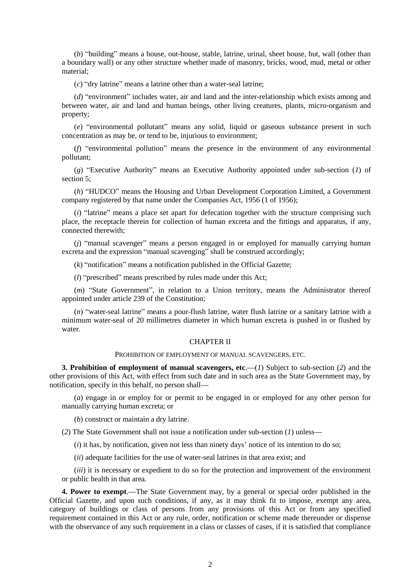(*b*) "building" means a house, out-house, stable, latrine, urinal, sheet house, hut, wall (other than a boundary wall) or any other structure whether made of masonry, bricks, wood, mud, metal or other material;

(*c*) "dry latrine" means a latrine other than a water-seal latrine;

(*d*) "environment" includes water, air and land and the inter-relationship which exists among and between water, air and land and human beings, other living creatures, plants, micro-organism and property;

(*e*) "environmental pollutant" means any solid, liquid or gaseous substance present in such concentration as may be, or tend to be, injurious to environment;

(*f*) "environmental pollution" means the presence in the environment of any environmental pollutant;

(*g*) "Executive Authority" means an Executive Authority appointed under sub-section (*1*) of section 5;

(*h*) "HUDCO" means the Housing and Urban Development Corporation Limited, a Government company registered by that name under the Companies Act, 1956 (1 of 1956);

(*i*) "latrine" means a place set apart for defecation together with the structure comprising such place, the receptacle therein for collection of human excreta and the fittings and apparatus, if any, connected therewith;

(*j*) "manual scavenger" means a person engaged in or employed for manually carrying human excreta and the expression "manual scavenging" shall be construed accordingly;

(*k*) "notification" means a notification published in the Official Gazette;

(*l*) "prescribed" means prescribed by rules made under this Act;

(*m*) "State Government", in relation to a Union territory, means the Administrator thereof appointed under article 239 of the Constitution;

(*n*) "water-seal latrine" means a pour-flush latrine, water flush latrine or a sanitary latrine with a minimum water-seal of 20 millimetres diameter in which human excreta is pushed in or flushed by water.

# CHAPTER II

#### PROHIBITION OF EMPLOYMENT OF MANUAL SCAVENGERS, ETC.

**3. Prohibition of employment of manual scavengers, etc**.**—**(*1*) Subject to sub-section (*2*) and the other provisions of this Act, with effect from such date and in such area as the State Government may, by notification, specify in this behalf, no person shall**—**

(*a*) engage in or employ for or permit to be engaged in or employed for any other person for manually carrying human excreta; or

(*b*) construct or maintain a dry latrine.

(*2*) The State Government shall not issue a notification under sub-section (*1*) unless**—**

(*i*) it has, by notification, given not less than ninety days' notice of its intention to do so;

(*ii*) adequate facilities for the use of water-seal latrines in that area exist; and

(*iii*) it is necessary or expedient to do so for the protection and improvement of the environment or public health in that area.

**4. Power to exempt**.**—**The State Government may, by a general or special order published in the Official Gazette, and upon such conditions, if any, as it may think fit to impose, exempt any area, category of buildings or class of persons from any provisions of this Act or from any specified requirement contained in this Act or any rule, order, notification or scheme made thereunder or dispense with the observance of any such requirement in a class or classes of cases, if it is satisfied that compliance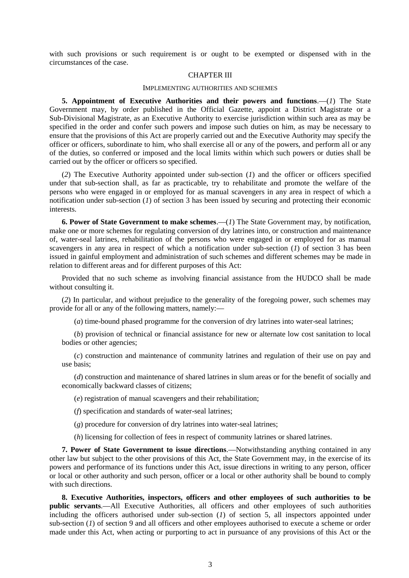with such provisions or such requirement is or ought to be exempted or dispensed with in the circumstances of the case.

#### CHAPTER III

#### IMPLEMENTING AUTHORITIES AND SCHEMES

**5. Appointment of Executive Authorities and their powers and functions**.**—**(*1*) The State Government may, by order published in the Official Gazette, appoint a District Magistrate or a Sub-Divisional Magistrate, as an Executive Authority to exercise jurisdiction within such area as may be specified in the order and confer such powers and impose such duties on him, as may be necessary to ensure that the provisions of this Act are properly carried out and the Executive Authority may specify the officer or officers, subordinate to him, who shall exercise all or any of the powers, and perform all or any of the duties, so conferred or imposed and the local limits within which such powers or duties shall be carried out by the officer or officers so specified.

(*2*) The Executive Authority appointed under sub-section (*1*) and the officer or officers specified under that sub-section shall, as far as practicable, try to rehabilitate and promote the welfare of the persons who were engaged in or employed for as manual scavengers in any area in respect of which a notification under sub-section (*1*) of section 3 has been issued by securing and protecting their economic interests.

**6. Power of State Government to make schemes**.**—**(*1*) The State Government may, by notification, make one or more schemes for regulating conversion of dry latrines into, or construction and maintenance of, water-seal latrines, rehabilitation of the persons who were engaged in or employed for as manual scavengers in any area in respect of which a notification under sub-section (*1*) of section 3 has been issued in gainful employment and administration of such schemes and different schemes may be made in relation to different areas and for different purposes of this Act:

Provided that no such scheme as involving financial assistance from the HUDCO shall be made without consulting it.

(*2*) In particular, and without prejudice to the generality of the foregoing power, such schemes may provide for all or any of the following matters, namely:**—**

(*a*) time-bound phased programme for the conversion of dry latrines into water-seal latrines;

(*b*) provision of technical or financial assistance for new or alternate low cost sanitation to local bodies or other agencies;

(*c*) construction and maintenance of community latrines and regulation of their use on pay and use basis;

(*d*) construction and maintenance of shared latrines in slum areas or for the benefit of socially and economically backward classes of citizens;

(*e*) registration of manual scavengers and their rehabilitation;

(*f*) specification and standards of water-seal latrines;

(*g*) procedure for conversion of dry latrines into water-seal latrines;

(*h*) licensing for collection of fees in respect of community latrines or shared latrines.

**7. Power of State Government to issue directions**.**—**Notwithstanding anything contained in any other law but subject to the other provisions of this Act, the State Government may, in the exercise of its powers and performance of its functions under this Act, issue directions in writing to any person, officer or local or other authority and such person, officer or a local or other authority shall be bound to comply with such directions.

**8. Executive Authorities, inspectors, officers and other employees of such authorities to be public servants**.**—**All Executive Authorities, all officers and other employees of such authorities including the officers authorised under sub-section (*1*) of section 5, all inspectors appointed under sub-section (*1*) of section 9 and all officers and other employees authorised to execute a scheme or order made under this Act, when acting or purporting to act in pursuance of any provisions of this Act or the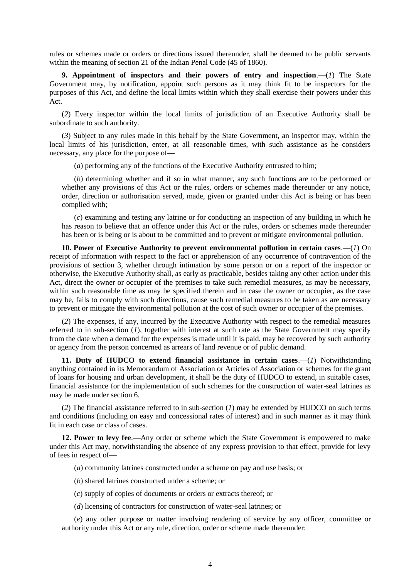rules or schemes made or orders or directions issued thereunder, shall be deemed to be public servants within the meaning of section 21 of the Indian Penal Code (45 of 1860).

**9. Appointment of inspectors and their powers of entry and inspection**.**—**(*1*) The State Government may, by notification, appoint such persons as it may think fit to be inspectors for the purposes of this Act, and define the local limits within which they shall exercise their powers under this Act.

(*2*) Every inspector within the local limits of jurisdiction of an Executive Authority shall be subordinate to such authority.

(*3*) Subject to any rules made in this behalf by the State Government, an inspector may, within the local limits of his jurisdiction, enter, at all reasonable times, with such assistance as he considers necessary, any place for the purpose of**—**

(*a*) performing any of the functions of the Executive Authority entrusted to him;

(*b*) determining whether and if so in what manner, any such functions are to be performed or whether any provisions of this Act or the rules, orders or schemes made thereunder or any notice, order, direction or authorisation served, made, given or granted under this Act is being or has been complied with;

(*c*) examining and testing any latrine or for conducting an inspection of any building in which he has reason to believe that an offence under this Act or the rules, orders or schemes made thereunder has been or is being or is about to be committed and to prevent or mitigate environmental pollution.

**10. Power of Executive Authority to prevent environmental pollution in certain cases**.**—**(*1*) On receipt of information with respect to the fact or apprehension of any occurrence of contravention of the provisions of section 3, whether through intimation by some person or on a report of the inspector or otherwise, the Executive Authority shall, as early as practicable, besides taking any other action under this Act, direct the owner or occupier of the premises to take such remedial measures, as may be necessary, within such reasonable time as may be specified therein and in case the owner or occupier, as the case may be, fails to comply with such directions, cause such remedial measures to be taken as are necessary to prevent or mitigate the environmental pollution at the cost of such owner or occupier of the premises.

(*2*) The expenses, if any, incurred by the Executive Authority with respect to the remedial measures referred to in sub-section (*1*), together with interest at such rate as the State Government may specify from the date when a demand for the expenses is made until it is paid, may be recovered by such authority or agency from the person concerned as arrears of land revenue or of public demand.

**11. Duty of HUDCO to extend financial assistance in certain cases**.**—**(*1*) Notwithstanding anything contained in its Memorandum of Association or Articles of Association or schemes for the grant of loans for housing and urban development, it shall be the duty of HUDCO to extend, in suitable cases, financial assistance for the implementation of such schemes for the construction of water-seal latrines as may be made under section 6.

(*2*) The financial assistance referred to in sub-section (*1*) may be extended by HUDCO on such terms and conditions (including on easy and concessional rates of interest) and in such manner as it may think fit in each case or class of cases.

**12. Power to levy fee**.**—**Any order or scheme which the State Government is empowered to make under this Act may, notwithstanding the absence of any express provision to that effect, provide for levy of fees in respect of**—**

- (*a*) community latrines constructed under a scheme on pay and use basis; or
- (*b*) shared latrines constructed under a scheme; or
- (*c*) supply of copies of documents or orders or extracts thereof; or
- (*d*) licensing of contractors for construction of water-seal latrines; or

(*e*) any other purpose or matter involving rendering of service by any officer, committee or authority under this Act or any rule, direction, order or scheme made thereunder: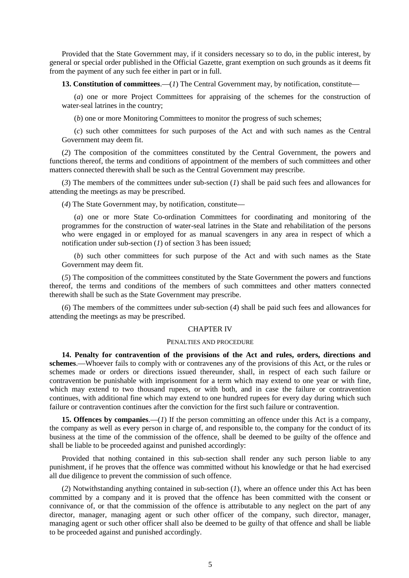Provided that the State Government may, if it considers necessary so to do, in the public interest, by general or special order published in the Official Gazette, grant exemption on such grounds as it deems fit from the payment of any such fee either in part or in full.

**13. Constitution of committees**.**—**(*1*) The Central Government may, by notification, constitute**—**

(*a*) one or more Project Committees for appraising of the schemes for the construction of water-seal latrines in the country;

(*b*) one or more Monitoring Committees to monitor the progress of such schemes;

(*c*) such other committees for such purposes of the Act and with such names as the Central Government may deem fit.

(*2*) The composition of the committees constituted by the Central Government, the powers and functions thereof, the terms and conditions of appointment of the members of such committees and other matters connected therewith shall be such as the Central Government may prescribe.

(*3*) The members of the committees under sub-section (*1*) shall be paid such fees and allowances for attending the meetings as may be prescribed.

(*4*) The State Government may, by notification, constitute**—**

(*a*) one or more State Co-ordination Committees for coordinating and monitoring of the programmes for the construction of water-seal latrines in the State and rehabilitation of the persons who were engaged in or employed for as manual scavengers in any area in respect of which a notification under sub-section (*1*) of section 3 has been issued;

(*b*) such other committees for such purpose of the Act and with such names as the State Government may deem fit.

(*5*) The composition of the committees constituted by the State Government the powers and functions thereof, the terms and conditions of the members of such committees and other matters connected therewith shall be such as the State Government may prescribe.

(*6*) The members of the committees under sub-section (*4*) shall be paid such fees and allowances for attending the meetings as may be prescribed.

#### CHAPTER IV

# PENALTIES AND PROCEDURE

**14. Penalty for contravention of the provisions of the Act and rules, orders, directions and schemes**.**—**Whoever fails to comply with or contravenes any of the provisions of this Act, or the rules or schemes made or orders or directions issued thereunder, shall, in respect of each such failure or contravention be punishable with imprisonment for a term which may extend to one year or with fine, which may extend to two thousand rupees, or with both, and in case the failure or contravention continues, with additional fine which may extend to one hundred rupees for every day during which such failure or contravention continues after the conviction for the first such failure or contravention.

**15. Offences by companies.—(***1***)** If the person committing an offence under this Act is a company, the company as well as every person in charge of, and responsible to, the company for the conduct of its business at the time of the commission of the offence, shall be deemed to be guilty of the offence and shall be liable to be proceeded against and punished accordingly:

Provided that nothing contained in this sub-section shall render any such person liable to any punishment, if he proves that the offence was committed without his knowledge or that he had exercised all due diligence to prevent the commission of such offence.

(*2*) Notwithstanding anything contained in sub-section (*1*), where an offence under this Act has been committed by a company and it is proved that the offence has been committed with the consent or connivance of, or that the commission of the offence is attributable to any neglect on the part of any director, manager, managing agent or such other officer of the company, such director, manager, managing agent or such other officer shall also be deemed to be guilty of that offence and shall be liable to be proceeded against and punished accordingly.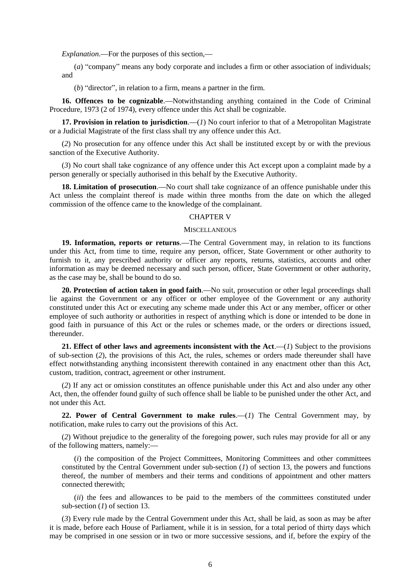*Explanation*.**—**For the purposes of this section,**—**

(*a*) "company" means any body corporate and includes a firm or other association of individuals; and

(*b*) "director", in relation to a firm, means a partner in the firm.

**16. Offences to be cognizable**.**—**Notwithstanding anything contained in the Code of Criminal Procedure, 1973 (2 of 1974), every offence under this Act shall be cognizable.

**17. Provision in relation to jurisdiction**.**—**(*1*) No court inferior to that of a Metropolitan Magistrate or a Judicial Magistrate of the first class shall try any offence under this Act.

(*2*) No prosecution for any offence under this Act shall be instituted except by or with the previous sanction of the Executive Authority.

(*3*) No court shall take cognizance of any offence under this Act except upon a complaint made by a person generally or specially authorised in this behalf by the Executive Authority.

**18. Limitation of prosecution**.**—**No court shall take cognizance of an offence punishable under this Act unless the complaint thereof is made within three months from the date on which the alleged commission of the offence came to the knowledge of the complainant.

# CHAPTER V

## **MISCELLANEOUS**

**19. Information, reports or returns**.**—**The Central Government may, in relation to its functions under this Act, from time to time, require any person, officer, State Government or other authority to furnish to it, any prescribed authority or officer any reports, returns, statistics, accounts and other information as may be deemed necessary and such person, officer, State Government or other authority, as the case may be, shall be bound to do so.

**20. Protection of action taken in good faith**.**—**No suit, prosecution or other legal proceedings shall lie against the Government or any officer or other employee of the Government or any authority constituted under this Act or executing any scheme made under this Act or any member, officer or other employee of such authority or authorities in respect of anything which is done or intended to be done in good faith in pursuance of this Act or the rules or schemes made, or the orders or directions issued, thereunder.

**21. Effect of other laws and agreements inconsistent with the Act**.**—**(*1*) Subject to the provisions of sub-section (*2*), the provisions of this Act, the rules, schemes or orders made thereunder shall have effect notwithstanding anything inconsistent therewith contained in any enactment other than this Act, custom, tradition, contract, agreement or other instrument.

(*2*) If any act or omission constitutes an offence punishable under this Act and also under any other Act, then, the offender found guilty of such offence shall be liable to be punished under the other Act, and not under this Act.

**22. Power of Central Government to make rules**.**—**(*1*) The Central Government may, by notification, make rules to carry out the provisions of this Act.

(*2*) Without prejudice to the generality of the foregoing power, such rules may provide for all or any of the following matters, namely:**—**

(*i*) the composition of the Project Committees, Monitoring Committees and other committees constituted by the Central Government under sub-section (*1*) of section 13, the powers and functions thereof, the number of members and their terms and conditions of appointment and other matters connected therewith;

(*ii*) the fees and allowances to be paid to the members of the committees constituted under sub-section (*1*) of section 13.

(*3*) Every rule made by the Central Government under this Act, shall be laid, as soon as may be after it is made, before each House of Parliament, while it is in session, for a total period of thirty days which may be comprised in one session or in two or more successive sessions, and if, before the expiry of the